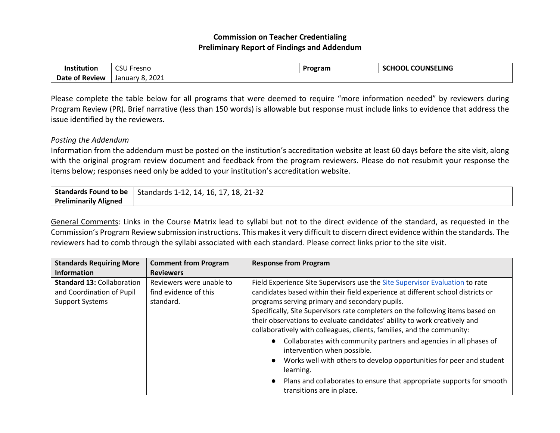## **Commission on Teacher Credentialing Preliminary Report of Findings and Addendum**

| Institutior    | $\sim$ $\sim$ $\sim$<br>CSU Fresno | Program | <b>CHOOL COUNSELING</b> |
|----------------|------------------------------------|---------|-------------------------|
| Date of Review | 8,2021<br>January                  |         |                         |

Please complete the table below for all programs that were deemed to require "more information needed" by reviewers during Program Review (PR). Brief narrative (less than 150 words) is allowable but response must include links to evidence that address the issue identified by the reviewers.

## *Posting the Addendum*

Information from the addendum must be posted on the institution's accreditation website at least 60 days before the site visit, along with the original program review document and feedback from the program reviewers. Please do not resubmit your response the items below; responses need only be added to your institution's accreditation website.

| Standards Found to be        | $17, 18, 21 - 32$<br>$\frac{1}{2}$ Standards 1-12, 14, 16, 1, |
|------------------------------|---------------------------------------------------------------|
| <b>Preliminarily Aligned</b> |                                                               |

General Comments: Links in the Course Matrix lead to syllabi but not to the direct evidence of the standard, as requested in the Commission's Program Review submission instructions. This makes it very difficult to discern direct evidence within the standards. The reviewers had to comb through the syllabi associated with each standard. Please correct links prior to the site visit.

| <b>Standards Requiring More</b>                                                          | <b>Comment from Program</b>                                    | <b>Response from Program</b>                                                                                                                                                                                                                                                                                                                                                                                                                               |  |
|------------------------------------------------------------------------------------------|----------------------------------------------------------------|------------------------------------------------------------------------------------------------------------------------------------------------------------------------------------------------------------------------------------------------------------------------------------------------------------------------------------------------------------------------------------------------------------------------------------------------------------|--|
| <b>Information</b>                                                                       | <b>Reviewers</b>                                               |                                                                                                                                                                                                                                                                                                                                                                                                                                                            |  |
| <b>Standard 13: Collaboration</b><br>and Coordination of Pupil<br><b>Support Systems</b> | Reviewers were unable to<br>find evidence of this<br>standard. | Field Experience Site Supervisors use the Site Supervisor Evaluation to rate<br>candidates based within their field experience at different school districts or<br>programs serving primary and secondary pupils.<br>Specifically, Site Supervisors rate completers on the following items based on<br>their observations to evaluate candidates' ability to work creatively and<br>collaboratively with colleagues, clients, families, and the community: |  |
|                                                                                          |                                                                | Collaborates with community partners and agencies in all phases of<br>intervention when possible.<br>Works well with others to develop opportunities for peer and student<br>learning.<br>Plans and collaborates to ensure that appropriate supports for smooth<br>transitions are in place.                                                                                                                                                               |  |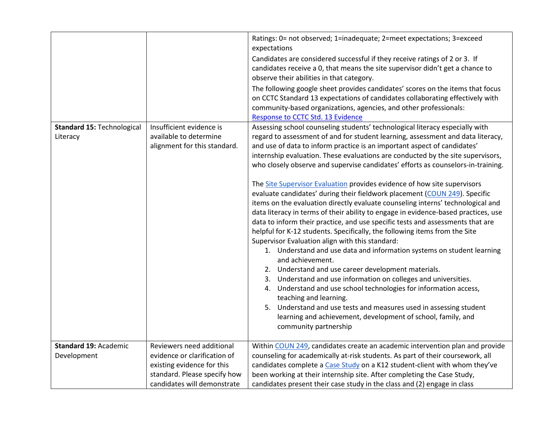|                                             |                                                                                                                                                        | Ratings: 0= not observed; 1=inadequate; 2=meet expectations; 3=exceed<br>expectations<br>Candidates are considered successful if they receive ratings of 2 or 3. If<br>candidates receive a 0, that means the site supervisor didn't get a chance to<br>observe their abilities in that category.<br>The following google sheet provides candidates' scores on the items that focus<br>on CCTC Standard 13 expectations of candidates collaborating effectively with<br>community-based organizations, agencies, and other professionals:<br>Response to CCTC Std. 13 Evidence                                                                                                                                                                                                                                                                                                                                                                                                                                                                                                                                                                                                                                                                                                                                                                                                                                                                                 |
|---------------------------------------------|--------------------------------------------------------------------------------------------------------------------------------------------------------|----------------------------------------------------------------------------------------------------------------------------------------------------------------------------------------------------------------------------------------------------------------------------------------------------------------------------------------------------------------------------------------------------------------------------------------------------------------------------------------------------------------------------------------------------------------------------------------------------------------------------------------------------------------------------------------------------------------------------------------------------------------------------------------------------------------------------------------------------------------------------------------------------------------------------------------------------------------------------------------------------------------------------------------------------------------------------------------------------------------------------------------------------------------------------------------------------------------------------------------------------------------------------------------------------------------------------------------------------------------------------------------------------------------------------------------------------------------|
| Standard 15: Technological<br>Literacy      | Insufficient evidence is<br>available to determine<br>alignment for this standard.                                                                     | Assessing school counseling students' technological literacy especially with<br>regard to assessment of and for student learning, assessment and data literacy,<br>and use of data to inform practice is an important aspect of candidates'<br>internship evaluation. These evaluations are conducted by the site supervisors,<br>who closely observe and supervise candidates' efforts as counselors-in-training.<br>The Site Supervisor Evaluation provides evidence of how site supervisors<br>evaluate candidates' during their fieldwork placement (COUN 249). Specific<br>items on the evaluation directly evaluate counseling interns' technological and<br>data literacy in terms of their ability to engage in evidence-based practices, use<br>data to inform their practice, and use specific tests and assessments that are<br>helpful for K-12 students. Specifically, the following items from the Site<br>Supervisor Evaluation align with this standard:<br>1. Understand and use data and information systems on student learning<br>and achievement.<br>2. Understand and use career development materials.<br>3. Understand and use information on colleges and universities.<br>4. Understand and use school technologies for information access,<br>teaching and learning.<br>5. Understand and use tests and measures used in assessing student<br>learning and achievement, development of school, family, and<br>community partnership |
| <b>Standard 19: Academic</b><br>Development | Reviewers need additional<br>evidence or clarification of<br>existing evidence for this<br>standard. Please specify how<br>candidates will demonstrate | Within COUN 249, candidates create an academic intervention plan and provide<br>counseling for academically at-risk students. As part of their coursework, all<br>candidates complete a Case Study on a K12 student-client with whom they've<br>been working at their internship site. After completing the Case Study,<br>candidates present their case study in the class and (2) engage in class                                                                                                                                                                                                                                                                                                                                                                                                                                                                                                                                                                                                                                                                                                                                                                                                                                                                                                                                                                                                                                                            |